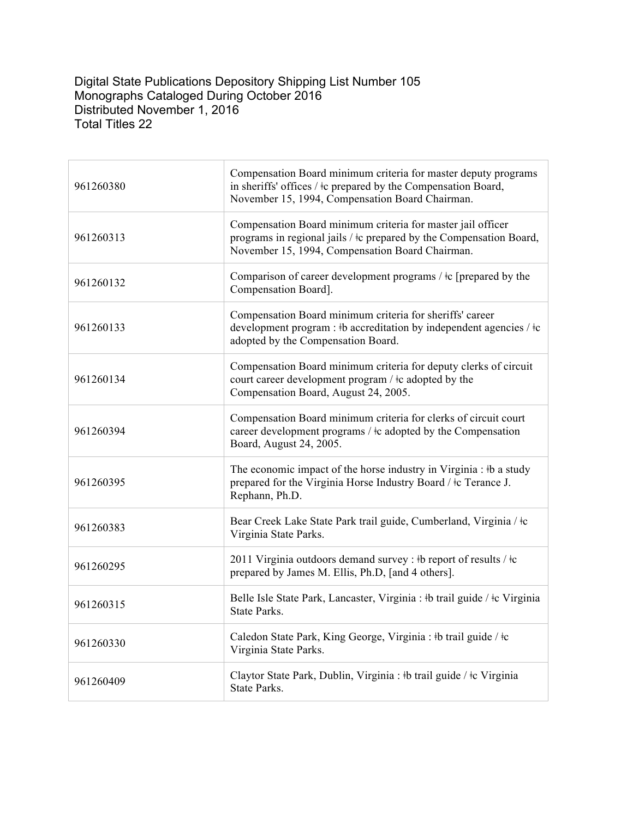## Digital State Publications Depository Shipping List Number 105 Monographs Cataloged During October 2016 Distributed November 1, 2016 Total Titles 22

| 961260380 | Compensation Board minimum criteria for master deputy programs<br>in sheriffs' offices / $\pm c$ prepared by the Compensation Board,<br>November 15, 1994, Compensation Board Chairman.    |
|-----------|--------------------------------------------------------------------------------------------------------------------------------------------------------------------------------------------|
| 961260313 | Compensation Board minimum criteria for master jail officer<br>programs in regional jails / $\pm c$ prepared by the Compensation Board,<br>November 15, 1994, Compensation Board Chairman. |
| 961260132 | Comparison of career development programs $/$ ‡c [prepared by the<br>Compensation Board].                                                                                                  |
| 961260133 | Compensation Board minimum criteria for sheriffs' career<br>development program : #b accreditation by independent agencies / $\pm c$<br>adopted by the Compensation Board.                 |
| 961260134 | Compensation Board minimum criteria for deputy clerks of circuit<br>court career development program / ‡c adopted by the<br>Compensation Board, August 24, 2005.                           |
| 961260394 | Compensation Board minimum criteria for clerks of circuit court<br>career development programs / $\pm c$ adopted by the Compensation<br>Board, August 24, 2005.                            |
| 961260395 | The economic impact of the horse industry in Virginia : #b a study<br>prepared for the Virginia Horse Industry Board / ‡c Terance J.<br>Rephann, Ph.D.                                     |
| 961260383 | Bear Creek Lake State Park trail guide, Cumberland, Virginia / $\pm c$<br>Virginia State Parks.                                                                                            |
| 961260295 | 2011 Virginia outdoors demand survey : #b report of results / #c<br>prepared by James M. Ellis, Ph.D, [and 4 others].                                                                      |
| 961260315 | Belle Isle State Park, Lancaster, Virginia : #b trail guide / #c Virginia<br><b>State Parks.</b>                                                                                           |
| 961260330 | Caledon State Park, King George, Virginia : #b trail guide / #c<br>Virginia State Parks.                                                                                                   |
| 961260409 | Claytor State Park, Dublin, Virginia : #b trail guide / #c Virginia<br><b>State Parks.</b>                                                                                                 |